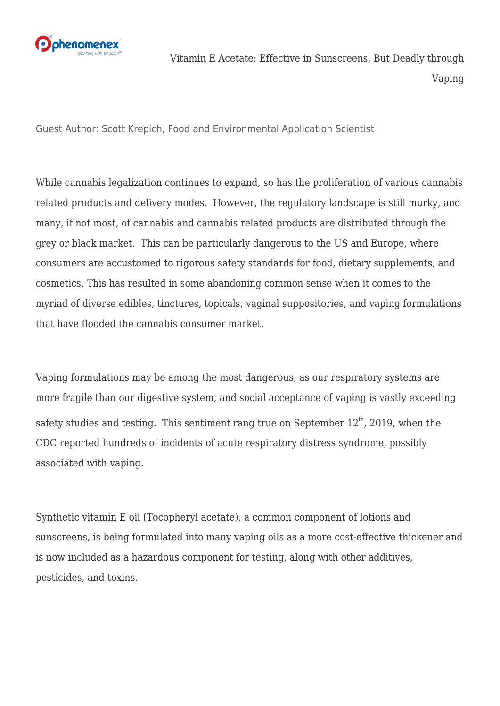

Guest Author: Scott Krepich, Food and Environmental Application Scientist

While cannabis legalization continues to expand, so has the proliferation of various cannabis related products and delivery modes. However, the regulatory landscape is still murky, and many, if not most, of cannabis and cannabis related products are distributed through the grey or black market. This can be particularly dangerous to the US and Europe, where consumers are accustomed to rigorous safety standards for food, dietary supplements, and cosmetics. This has resulted in some abandoning common sense when it comes to the myriad of diverse edibles, tinctures, topicals, vaginal suppositories, and vaping formulations that have flooded the cannabis consumer market.

Vaping formulations may be among the most dangerous, as our respiratory systems are more fragile than our digestive system, and social acceptance of vaping is vastly exceeding safety studies and testing. This sentiment rang true on September  $12<sup>th</sup>$ , 2019, when the CDC reported hundreds of incidents of acute respiratory distress syndrome, possibly associated with vaping.

Synthetic vitamin E oil (Tocopheryl acetate), a common component of lotions and sunscreens, is being formulated into many vaping oils as a more cost-effective thickener and is now included as a hazardous component for testing, along with other additives, pesticides, and toxins.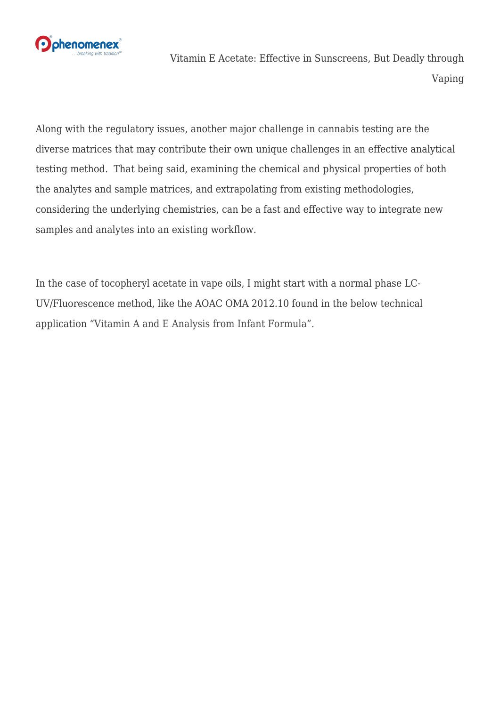

Along with the regulatory issues, another major challenge in cannabis testing are the diverse matrices that may contribute their own unique challenges in an effective analytical testing method. That being said, examining the chemical and physical properties of both the analytes and sample matrices, and extrapolating from existing methodologies, considering the underlying chemistries, can be a fast and effective way to integrate new samples and analytes into an existing workflow.

In the case of tocopheryl acetate in vape oils, I might start with a normal phase LC-UV/Fluorescence method, like the AOAC OMA 2012.10 found in the below technical application ["Vitamin A and E Analysis from Infant Formula".](http://bit.ly/32VwtME)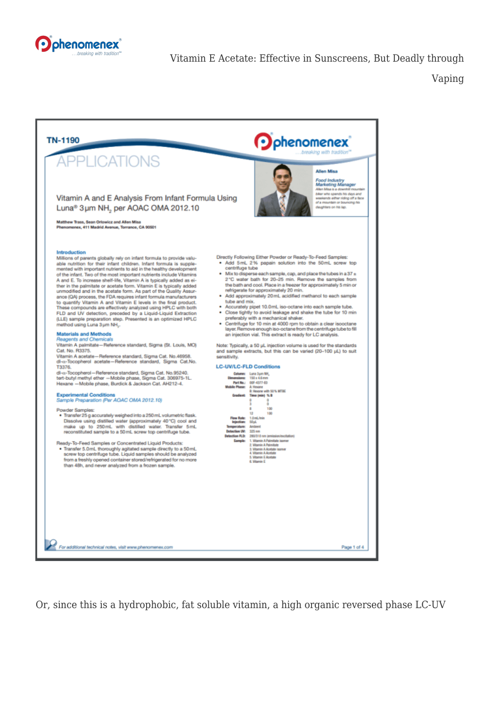



Or, since this is a hydrophobic, fat soluble vitamin, a high organic reversed phase LC-UV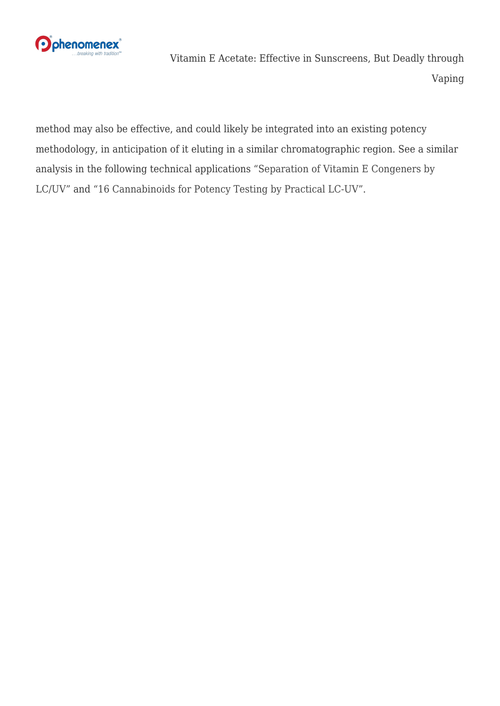

method may also be effective, and could likely be integrated into an existing potency methodology, in anticipation of it eluting in a similar chromatographic region. See a similar analysis in the following technical applications ["Separation of Vitamin E Congeners by](http://bit.ly/335LJHb) [LC/UV"](http://bit.ly/335LJHb) and ["16 Cannabinoids for Potency Testing by Practical LC-UV"](http://bit.ly/30EI6Gh).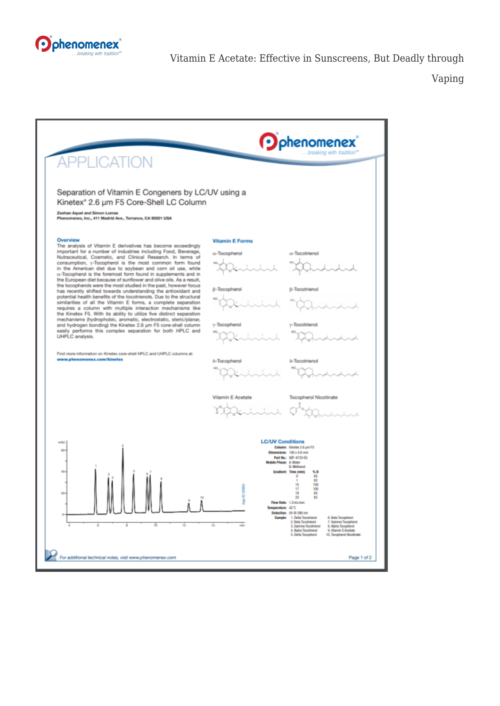

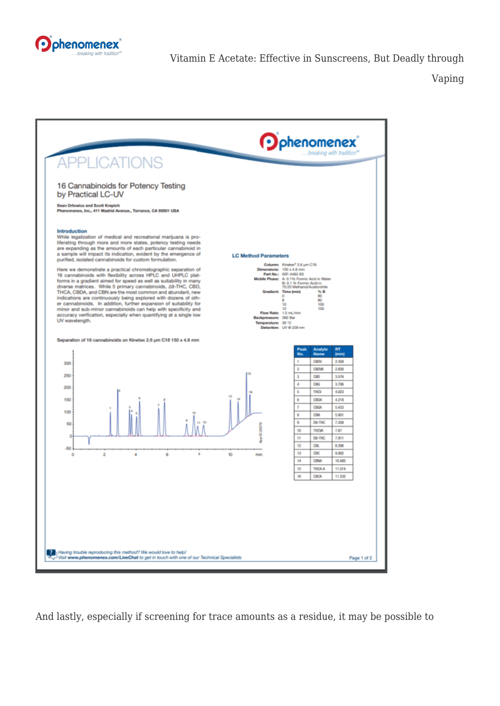



And lastly, especially if screening for trace amounts as a residue, it may be possible to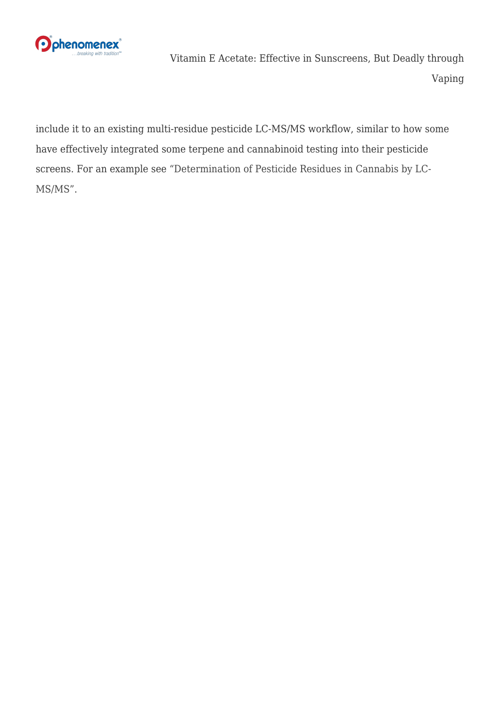

include it to an existing multi-residue pesticide LC-MS/MS workflow, similar to how some have effectively integrated some terpene and cannabinoid testing into their pesticide screens. For an example see ["Determination of Pesticide Residues in Cannabis by LC-](http://bit.ly/2oeQajQ)[MS/MS".](http://bit.ly/2oeQajQ)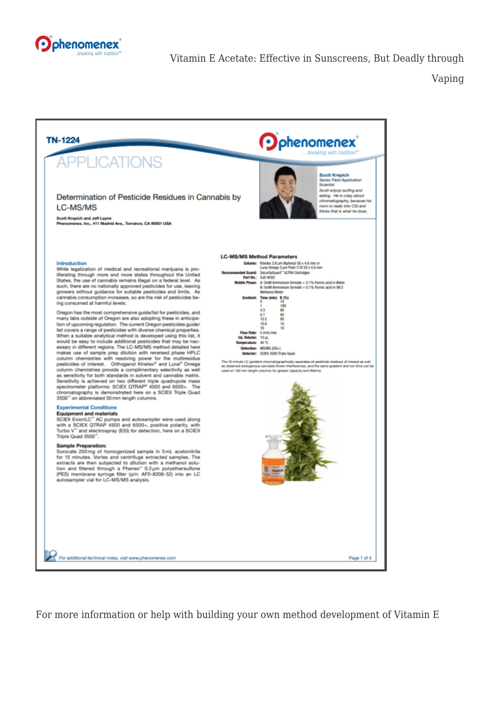



For more information or help with building your own method development of Vitamin E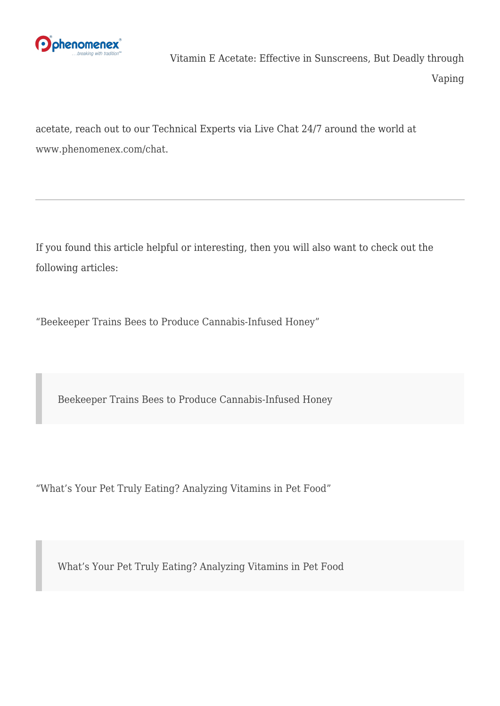

acetate, reach out to our Technical Experts via Live Chat 24/7 around the world at [www.phenomenex.com/chat](http://bit.ly/30Geybh).

If you found this article helpful or interesting, then you will also want to check out the following articles:

["Beekeeper Trains Bees to Produce Cannabis-Infused Honey"](https://phenomenex.blog/2018/09/04/cannabis-infused-honey/)

[Beekeeper Trains Bees to Produce Cannabis-Infused Honey](https://phenomenex.blog/2018/09/04/cannabis-infused-honey/)

["What's Your Pet Truly Eating? Analyzing Vitamins in Pet Food"](https://phenomenex.blog/2017/06/07/whats-your-pet-truly-eating-analyzing-vitamins-in-pet-food/)

[What's Your Pet Truly Eating? Analyzing Vitamins in Pet Food](https://phenomenex.blog/2017/06/07/whats-your-pet-truly-eating-analyzing-vitamins-in-pet-food/)